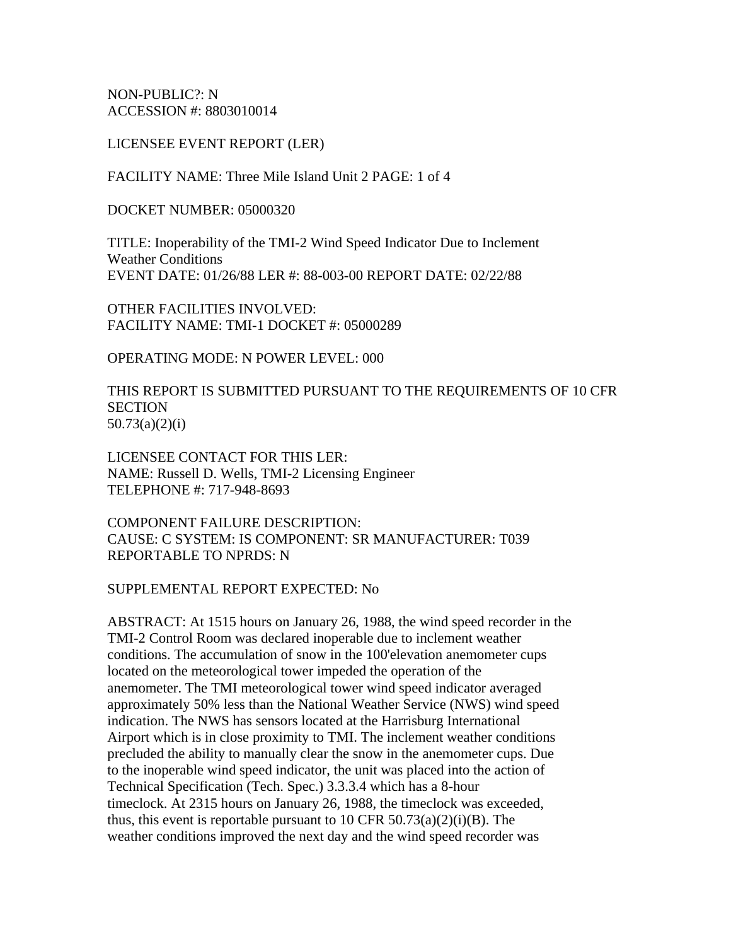NON-PUBLIC?: N ACCESSION #: 8803010014

LICENSEE EVENT REPORT (LER)

FACILITY NAME: Three Mile Island Unit 2 PAGE: 1 of 4

DOCKET NUMBER: 05000320

TITLE: Inoperability of the TMI-2 Wind Speed Indicator Due to Inclement Weather Conditions EVENT DATE: 01/26/88 LER #: 88-003-00 REPORT DATE: 02/22/88

OTHER FACILITIES INVOLVED: FACILITY NAME: TMI-1 DOCKET #: 05000289

OPERATING MODE: N POWER LEVEL: 000

THIS REPORT IS SUBMITTED PURSUANT TO THE REQUIREMENTS OF 10 CFR **SECTION** 50.73(a)(2)(i)

LICENSEE CONTACT FOR THIS LER: NAME: Russell D. Wells, TMI-2 Licensing Engineer TELEPHONE #: 717-948-8693

COMPONENT FAILURE DESCRIPTION: CAUSE: C SYSTEM: IS COMPONENT: SR MANUFACTURER: T039 REPORTABLE TO NPRDS: N

SUPPLEMENTAL REPORT EXPECTED: No

ABSTRACT: At 1515 hours on January 26, 1988, the wind speed recorder in the TMI-2 Control Room was declared inoperable due to inclement weather conditions. The accumulation of snow in the 100'elevation anemometer cups located on the meteorological tower impeded the operation of the anemometer. The TMI meteorological tower wind speed indicator averaged approximately 50% less than the National Weather Service (NWS) wind speed indication. The NWS has sensors located at the Harrisburg International Airport which is in close proximity to TMI. The inclement weather conditions precluded the ability to manually clear the snow in the anemometer cups. Due to the inoperable wind speed indicator, the unit was placed into the action of Technical Specification (Tech. Spec.) 3.3.3.4 which has a 8-hour timeclock. At 2315 hours on January 26, 1988, the timeclock was exceeded, thus, this event is reportable pursuant to 10 CFR  $50.73(a)(2)(i)(B)$ . The weather conditions improved the next day and the wind speed recorder was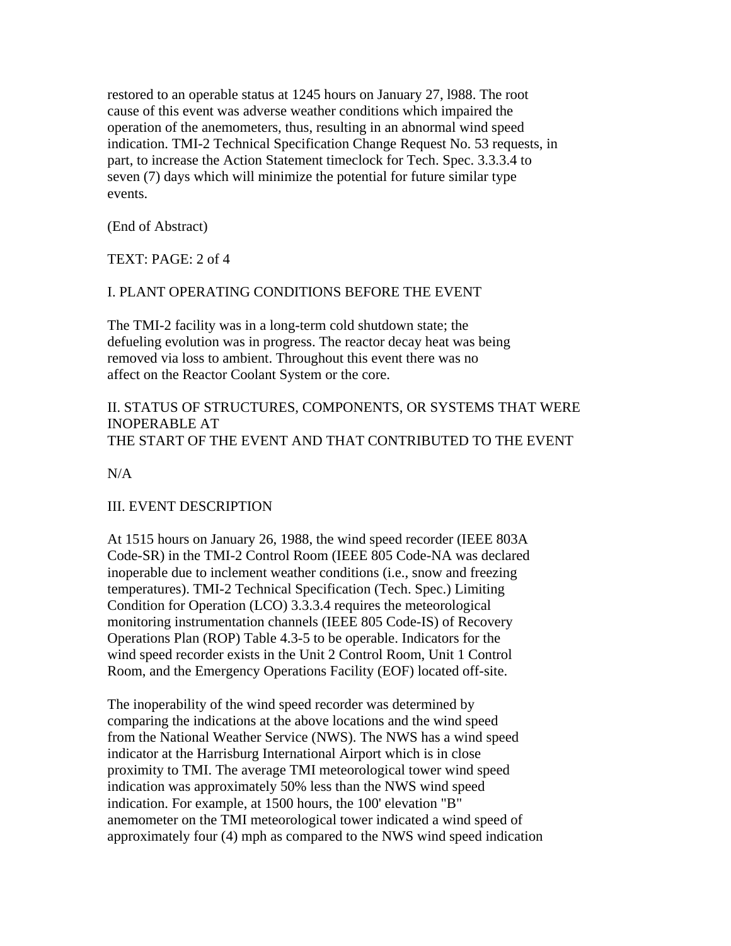restored to an operable status at 1245 hours on January 27, l988. The root cause of this event was adverse weather conditions which impaired the operation of the anemometers, thus, resulting in an abnormal wind speed indication. TMI-2 Technical Specification Change Request No. 53 requests, in part, to increase the Action Statement timeclock for Tech. Spec. 3.3.3.4 to seven (7) days which will minimize the potential for future similar type events.

(End of Abstract)

TEXT: PAGE: 2 of 4

# I. PLANT OPERATING CONDITIONS BEFORE THE EVENT

The TMI-2 facility was in a long-term cold shutdown state; the defueling evolution was in progress. The reactor decay heat was being removed via loss to ambient. Throughout this event there was no affect on the Reactor Coolant System or the core.

# II. STATUS OF STRUCTURES, COMPONENTS, OR SYSTEMS THAT WERE INOPERABLE AT THE START OF THE EVENT AND THAT CONTRIBUTED TO THE EVENT

 $N/A$ 

## III. EVENT DESCRIPTION

At 1515 hours on January 26, 1988, the wind speed recorder (IEEE 803A Code-SR) in the TMI-2 Control Room (IEEE 805 Code-NA was declared inoperable due to inclement weather conditions (i.e., snow and freezing temperatures). TMI-2 Technical Specification (Tech. Spec.) Limiting Condition for Operation (LCO) 3.3.3.4 requires the meteorological monitoring instrumentation channels (IEEE 805 Code-IS) of Recovery Operations Plan (ROP) Table 4.3-5 to be operable. Indicators for the wind speed recorder exists in the Unit 2 Control Room, Unit 1 Control Room, and the Emergency Operations Facility (EOF) located off-site.

The inoperability of the wind speed recorder was determined by comparing the indications at the above locations and the wind speed from the National Weather Service (NWS). The NWS has a wind speed indicator at the Harrisburg International Airport which is in close proximity to TMI. The average TMI meteorological tower wind speed indication was approximately 50% less than the NWS wind speed indication. For example, at 1500 hours, the 100' elevation "B" anemometer on the TMI meteorological tower indicated a wind speed of approximately four (4) mph as compared to the NWS wind speed indication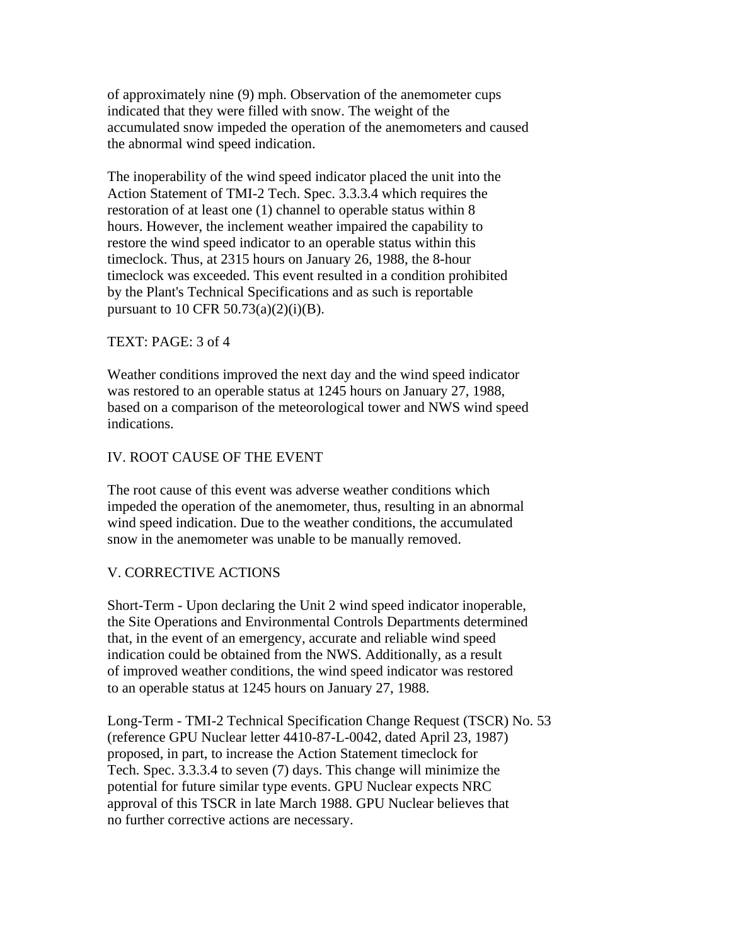of approximately nine (9) mph. Observation of the anemometer cups indicated that they were filled with snow. The weight of the accumulated snow impeded the operation of the anemometers and caused the abnormal wind speed indication.

The inoperability of the wind speed indicator placed the unit into the Action Statement of TMI-2 Tech. Spec. 3.3.3.4 which requires the restoration of at least one (1) channel to operable status within 8 hours. However, the inclement weather impaired the capability to restore the wind speed indicator to an operable status within this timeclock. Thus, at 2315 hours on January 26, 1988, the 8-hour timeclock was exceeded. This event resulted in a condition prohibited by the Plant's Technical Specifications and as such is reportable pursuant to 10 CFR 50.73(a)(2)(i)(B).

## TEXT: PAGE: 3 of 4

Weather conditions improved the next day and the wind speed indicator was restored to an operable status at 1245 hours on January 27, 1988, based on a comparison of the meteorological tower and NWS wind speed indications.

## IV. ROOT CAUSE OF THE EVENT

The root cause of this event was adverse weather conditions which impeded the operation of the anemometer, thus, resulting in an abnormal wind speed indication. Due to the weather conditions, the accumulated snow in the anemometer was unable to be manually removed.

## V. CORRECTIVE ACTIONS

Short-Term - Upon declaring the Unit 2 wind speed indicator inoperable, the Site Operations and Environmental Controls Departments determined that, in the event of an emergency, accurate and reliable wind speed indication could be obtained from the NWS. Additionally, as a result of improved weather conditions, the wind speed indicator was restored to an operable status at 1245 hours on January 27, 1988.

Long-Term - TMI-2 Technical Specification Change Request (TSCR) No. 53 (reference GPU Nuclear letter 4410-87-L-0042, dated April 23, 1987) proposed, in part, to increase the Action Statement timeclock for Tech. Spec. 3.3.3.4 to seven (7) days. This change will minimize the potential for future similar type events. GPU Nuclear expects NRC approval of this TSCR in late March 1988. GPU Nuclear believes that no further corrective actions are necessary.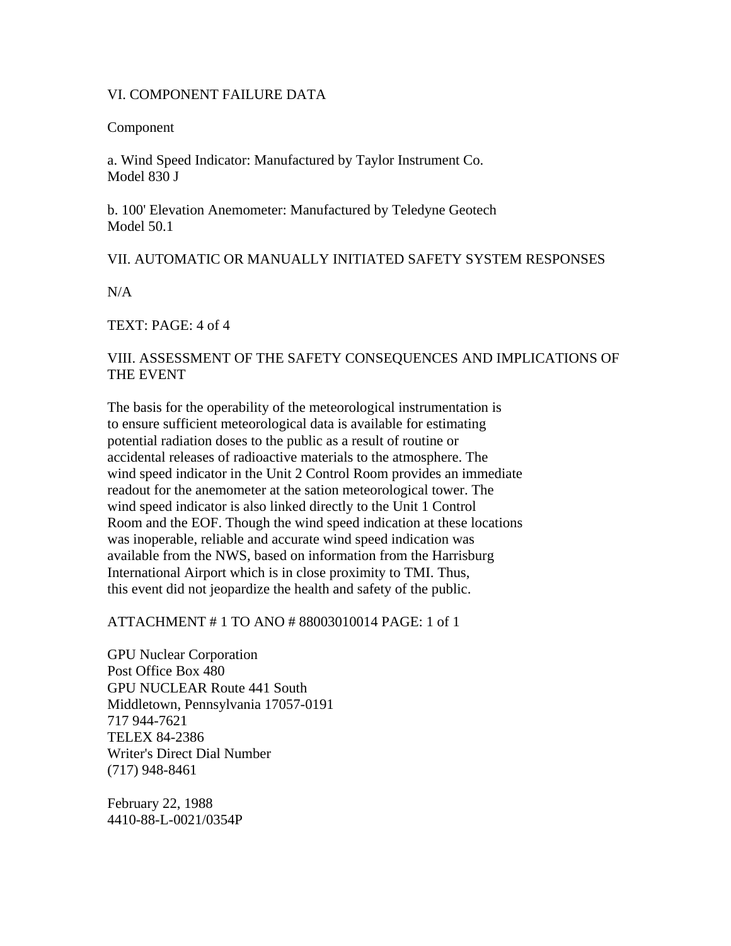## VI. COMPONENT FAILURE DATA

## Component

a. Wind Speed Indicator: Manufactured by Taylor Instrument Co. Model 830 J

b. 100' Elevation Anemometer: Manufactured by Teledyne Geotech Model 50.1

## VII. AUTOMATIC OR MANUALLY INITIATED SAFETY SYSTEM RESPONSES

N/A

TEXT: PAGE: 4 of 4

# VIII. ASSESSMENT OF THE SAFETY CONSEQUENCES AND IMPLICATIONS OF THE EVENT

The basis for the operability of the meteorological instrumentation is to ensure sufficient meteorological data is available for estimating potential radiation doses to the public as a result of routine or accidental releases of radioactive materials to the atmosphere. The wind speed indicator in the Unit 2 Control Room provides an immediate readout for the anemometer at the sation meteorological tower. The wind speed indicator is also linked directly to the Unit 1 Control Room and the EOF. Though the wind speed indication at these locations was inoperable, reliable and accurate wind speed indication was available from the NWS, based on information from the Harrisburg International Airport which is in close proximity to TMI. Thus, this event did not jeopardize the health and safety of the public.

## ATTACHMENT # 1 TO ANO # 88003010014 PAGE: 1 of 1

GPU Nuclear Corporation Post Office Box 480 GPU NUCLEAR Route 441 South Middletown, Pennsylvania 17057-0191 717 944-7621 TELEX 84-2386 Writer's Direct Dial Number (717) 948-8461

February 22, 1988 4410-88-L-0021/0354P